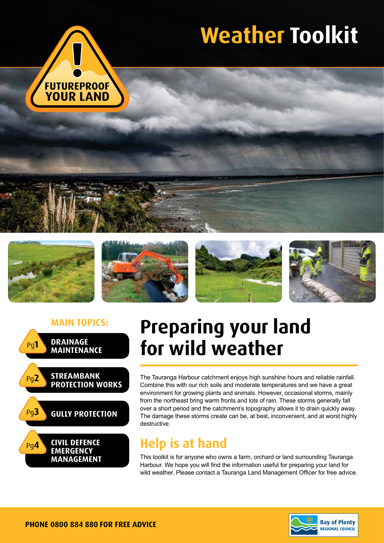

# **Weather Toolkit**











## **Main topics: Preparing your land for wild weather**

The Tauranga Harbour catchment enjoys high sunshine hours and reliable rainfall. Combine this with our rich soils and moderate temperatures and we have a great environment for growing plants and animals. However, occasional storms, mainly from the northeast bring warm fronts and lots of rain. These storms generally fall over a short period and the catchment's topography allows it to drain quickly away. The damage these storms create can be, at best, inconvenient, and at worst highly destructive.

### **Help is at hand**

This toolkit is for anyone who owns a farm, orchard or land surrounding Tauranga Harbour. We hope you will find the information useful for preparing your land for wild weather. Please contact a Tauranga Land Management Officer for free advice.

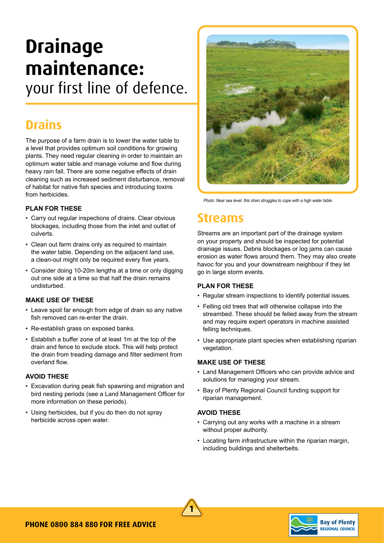## **Drainage maintenance:**  your first line of defence.

### **Drains**

The purpose of a farm drain is to lower the water table to a level that provides optimum soil conditions for growing plants. They need regular cleaning in order to maintain an optimum water table and manage volume and flow during heavy rain fall. There are some negative effects of drain cleaning such as increased sediment disturbance, removal of habitat for native fish species and introducing toxins from herbicides.

#### **PLAN FOR THESE**

- Carry out regular inspections of drains. Clear obvious blockages, including those from the inlet and outlet of culverts.
- Clean out farm drains only as required to maintain the water table. Depending on the adjacent land use, a clean-out might only be required every five years.
- Consider doing 10-20m lengths at a time or only digging out one side at a time so that half the drain remains undisturbed.

#### **MAKE USE OF THESE**

- Leave spoil far enough from edge of drain so any native fish removed can re-enter the drain.
- Re-establish grass on exposed banks.
- Establish a buffer zone of at least 1m at the top of the drain and fence to exclude stock. This will help protect the drain from treading damage and filter sediment from overland flow.

#### **AVOID THESE**

- Excavation during peak fish spawning and migration and bird nesting periods (see a Land Management Officer for more information on these periods).
- Using herbicides, but if you do then do not spray herbicide across open water.



*Photo: Near sea level, this drain struggles to cope with a high water table.*

### **Streams**

Streams are an important part of the drainage system on your property and should be inspected for potential drainage issues. Debris blockages or log jams can cause erosion as water flows around them. They may also create havoc for you and your downstream neighbour if they let go in large storm events.

#### **PLAN FOR THESE**

- Regular stream inspections to identify potential issues.
- Felling old trees that will otherwise collapse into the streambed. These should be felled away from the stream and may require expert operators in machine assisted felling techniques.
- Use appropriate plant species when establishing riparian vegetation.

#### **MAKE USE OF THESE**

- Land Management Officers who can provide advice and solutions for managing your stream.
- Bay of Plenty Regional Council funding support for riparian management.

#### **AVOID THESE**

- Carrying out any works with a machine in a stream without proper authority.
- Locating farm infrastructure within the riparian margin, including buildings and shelterbelts.



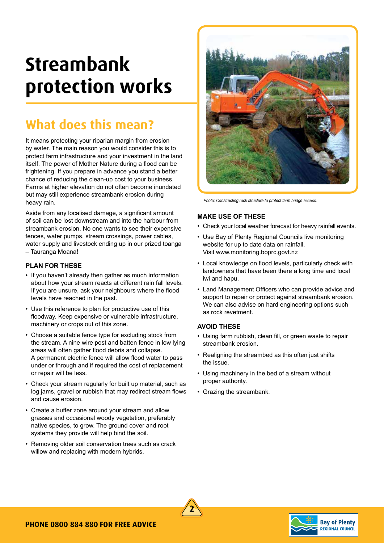## **Streambank protection works**

### **What does this mean?**

It means protecting your riparian margin from erosion by water. The main reason you would consider this is to protect farm infrastructure and your investment in the land itself. The power of Mother Nature during a flood can be frightening. If you prepare in advance you stand a better chance of reducing the clean-up cost to your business. Farms at higher elevation do not often become inundated but may still experience streambank erosion during heavy rain.

Aside from any localised damage, a significant amount of soil can be lost downstream and into the harbour from streambank erosion. No one wants to see their expensive fences, water pumps, stream crossings, power cables, water supply and livestock ending up in our prized toanga – Tauranga Moana!

#### **PLAN FOR THESE**

- If you haven't already then gather as much information about how your stream reacts at different rain fall levels. If you are unsure, ask your neighbours where the flood levels have reached in the past.
- Use this reference to plan for productive use of this floodway. Keep expensive or vulnerable infrastructure, machinery or crops out of this zone.
- Choose a suitable fence type for excluding stock from the stream. A nine wire post and batten fence in low lying areas will often gather flood debris and collapse. A permanent electric fence will allow flood water to pass under or through and if required the cost of replacement or repair will be less.
- Check your stream regularly for built up material, such as log jams, gravel or rubbish that may redirect stream flows and cause erosion.
- Create a buffer zone around your stream and allow grasses and occasional woody vegetation, preferably native species, to grow. The ground cover and root systems they provide will help bind the soil.
- Removing older soil conservation trees such as crack willow and replacing with modern hybrids.



*Photo: Constructing rock structure to protect farm bridge access.*

#### **MAKE USE OF THESE**

- Check your local weather forecast for heavy rainfall events.
- Use Bay of Plenty Regional Councils live monitoring website for up to date data on rainfall. Visit www.monitoring.boprc.govt.nz
- Local knowledge on flood levels, particularly check with landowners that have been there a long time and local iwi and hapu.
- Land Management Officers who can provide advice and support to repair or protect against streambank erosion. We can also advise on hard engineering options such as rock revetment.

#### **AVOID THESE**

- Using farm rubbish, clean fill, or green waste to repair streambank erosion.
- Realigning the streambed as this often just shifts the issue.
- Using machinery in the bed of a stream without proper authority.
- Grazing the streambank.



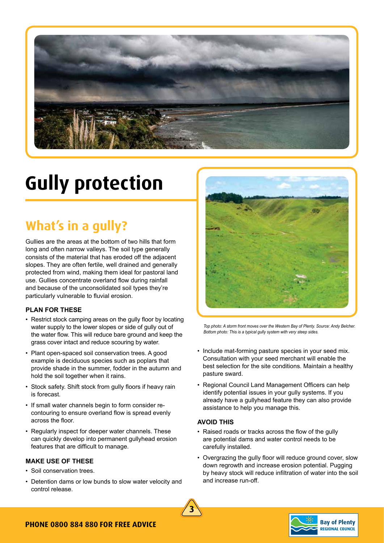

## **Gully protection**

## **What's in a gully?**

Gullies are the areas at the bottom of two hills that form long and often narrow valleys. The soil type generally consists of the material that has eroded off the adjacent slopes. They are often fertile, well drained and generally protected from wind, making them ideal for pastoral land use. Gullies concentrate overland flow during rainfall and because of the unconsolidated soil types they're particularly vulnerable to fluvial erosion.

#### **PLAN FOR THESE**

- Restrict stock camping areas on the gully floor by locating water supply to the lower slopes or side of gully out of the water flow. This will reduce bare ground and keep the grass cover intact and reduce scouring by water.
- Plant open-spaced soil conservation trees. A good example is deciduous species such as poplars that provide shade in the summer, fodder in the autumn and hold the soil together when it rains.
- Stock safety. Shift stock from gully floors if heavy rain is forecast.
- If small water channels begin to form consider recontouring to ensure overland flow is spread evenly across the floor.
- Regularly inspect for deeper water channels. These can quickly develop into permanent gullyhead erosion features that are difficult to manage.

#### **MAKE USE OF THESE**

- Soil conservation trees.
- Detention dams or low bunds to slow water velocity and control release.



*Top photo: A storm front moves over the Western Bay of Plenty. Source: Andy Belcher. Bottom photo: This is a typical gully system with very steep sides.* 

- Include mat-forming pasture species in your seed mix. Consultation with your seed merchant will enable the best selection for the site conditions. Maintain a healthy pasture sward.
- Regional Council Land Management Officers can help identify potential issues in your gully systems. If you already have a gullyhead feature they can also provide assistance to help you manage this.

#### **AVOID THIS**

- Raised roads or tracks across the flow of the gully are potential dams and water control needs to be carefully installed.
- Overgrazing the gully floor will reduce ground cover, slow down regrowth and increase erosion potential. Pugging by heavy stock will reduce infiltration of water into the soil and increase run-off.



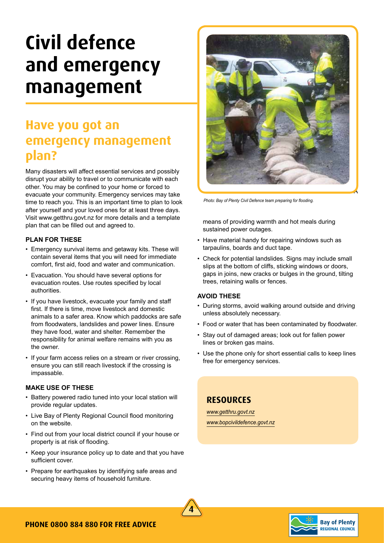## **Civil defence and emergency management**

### **Have you got an emergency management plan?**

Many disasters will affect essential services and possibly disrupt your ability to travel or to communicate with each other. You may be confined to your home or forced to evacuate your community. Emergency services may take time to reach you. This is an important time to plan to look after yourself and your loved ones for at least three days. Visit www.getthru.govt.nz for more details and a template plan that can be filled out and agreed to.

#### **PLAN FOR THESE**

- Emergency survival items and getaway kits. These will contain several items that you will need for immediate comfort, first aid, food and water and communication.
- Evacuation. You should have several options for evacuation routes. Use routes specified by local authorities.
- If you have livestock, evacuate your family and staff first. If there is time, move livestock and domestic animals to a safer area. Know which paddocks are safe from floodwaters, landslides and power lines. Ensure they have food, water and shelter. Remember the responsibility for animal welfare remains with you as the owner.
- If your farm access relies on a stream or river crossing, ensure you can still reach livestock if the crossing is impassable.

#### **MAKE USE OF THESE**

- Battery powered radio tuned into your local station will provide regular updates.
- Live Bay of Plenty Regional Council flood monitoring on the website.
- Find out from your local district council if your house or property is at risk of flooding.
- Keep your insurance policy up to date and that you have sufficient cover.
- Prepare for earthquakes by identifying safe areas and securing heavy items of household furniture.



*Photo: Bay of Plenty Civil Defence team preparing for flooding.*

means of providing warmth and hot meals during sustained power outages.

- Have material handy for repairing windows such as tarpaulins, boards and duct tape.
- Check for potential landslides. Signs may include small slips at the bottom of cliffs, sticking windows or doors, gaps in joins, new cracks or bulges in the ground, tilting trees, retaining walls or fences.

#### **AVOID THESE**

- During storms, avoid walking around outside and driving unless absolutely necessary.
- Food or water that has been contaminated by floodwater.
- Stay out of damaged areas; look out for fallen power lines or broken gas mains.
- Use the phone only for short essential calls to keep lines free for emergency services.

### **Resources**

*www.getthru.govt.nz www.bopcivildefence.govt.nz*